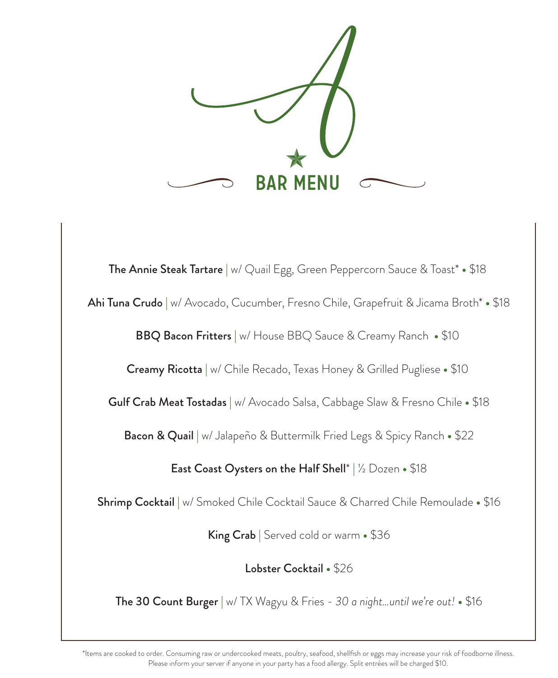

The Annie Steak Tartare | w/ Quail Egg, Green Peppercorn Sauce & Toast\* **•** \$18 Ahi Tuna Crudo | w/ Avocado, Cucumber, Fresno Chile, Grapefruit & Jicama Broth\* **•** \$18 BBQ Bacon Fritters | w/ House BBQ Sauce & Creamy Ranch **•** \$10 Creamy Ricotta | w/ Chile Recado, Texas Honey & Grilled Pugliese **•** \$10 Gulf Crab Meat Tostadas | w/ Avocado Salsa, Cabbage Slaw & Fresno Chile **•** \$18 Bacon & Quail | w/ Jalapeño & Buttermilk Fried Legs & Spicy Ranch **•** \$22 East Coast Oysters on the Half Shell\* | ½ Dozen **•** \$18 Shrimp Cocktail | w/ Smoked Chile Cocktail Sauce & Charred Chile Remoulade **•** \$16 King Crab | Served cold or warm **•** \$36 Lobster Cocktail **•** \$26 The 30 Count Burger | w/ TX Wagyu & Fries - *30 a night…until we're out!* **•** \$16

\*Items are cooked to order. Consuming raw or undercooked meats, poultry, seafood, shellfish or eggs may increase your risk of foodborne illness. Please inform your server if anyone in your party has a food allergy. Split entrées will be charged \$10.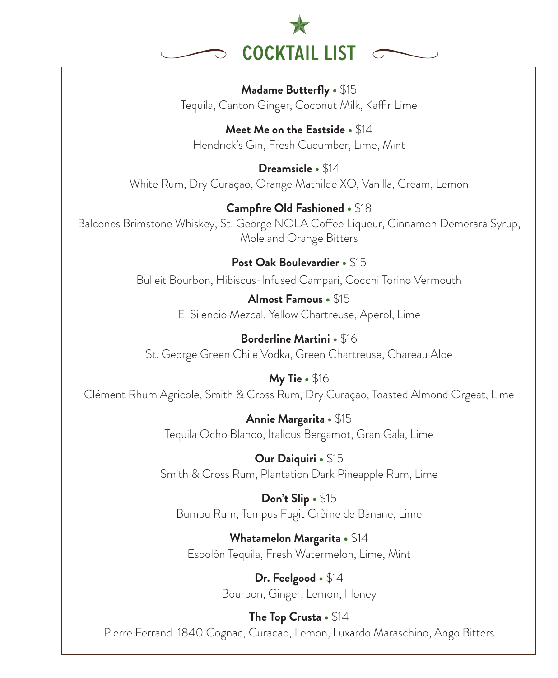

**Madame Butterfly •** \$15 Tequila, Canton Ginger, Coconut Milk, Kaffir Lime

**Meet Me on the Eastside •** \$14 Hendrick's Gin, Fresh Cucumber, Lime, Mint

**Dreamsicle •** \$14 White Rum, Dry Curaçao, Orange Mathilde XO, Vanilla, Cream, Lemon

**Campfire Old Fashioned •** \$18 Balcones Brimstone Whiskey, St. George NOLA Coffee Liqueur, Cinnamon Demerara Syrup, Mole and Orange Bitters

> **Post Oak Boulevardier •** \$15 Bulleit Bourbon, Hibiscus-Infused Campari, Cocchi Torino Vermouth

> > **Almost Famous •** \$15 El Silencio Mezcal, Yellow Chartreuse, Aperol, Lime

**Borderline Martini •** \$16 St. George Green Chile Vodka, Green Chartreuse, Chareau Aloe

**My Tie •** \$16 Clément Rhum Agricole, Smith & Cross Rum, Dry Curaçao, Toasted Almond Orgeat, Lime

> **Annie Margarita •** \$15 Tequila Ocho Blanco, Italicus Bergamot, Gran Gala, Lime

**Our Daiquiri •** \$15 Smith & Cross Rum, Plantation Dark Pineapple Rum, Lime

**Don't Slip •** \$15 Bumbu Rum, Tempus Fugit Crème de Banane, Lime

**Whatamelon Margarita •** \$14 Espolòn Tequila, Fresh Watermelon, Lime, Mint

> **Dr. Feelgood •** \$14 Bourbon, Ginger, Lemon, Honey

**The Top Crusta •** \$14 Pierre Ferrand 1840 Cognac, Curacao, Lemon, Luxardo Maraschino, Ango Bitters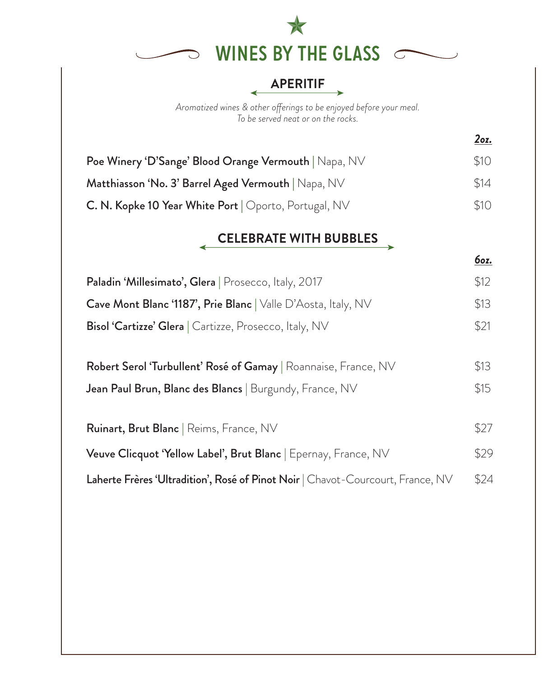

### **APERITIF**

∢

*Aromatized wines & other oerings to be enjoyed before your meal. To be served neat or on the rocks.* 

| Poe Winery 'D'Sange' Blood Orange Vermouth   Napa, NV | \$10 |
|-------------------------------------------------------|------|
| Matthiasson 'No. 3' Barrel Aged Vermouth   Napa, NV   | \$14 |
| C. N. Kopke 10 Year White Port   Oporto, Portugal, NV | \$10 |

#### **CELEBRATE WITH BUBBLES**

*6oz.*

*2oz.*

| Paladin 'Millesimato', Glera   Prosecco, Italy, 2017                            | \$12 |
|---------------------------------------------------------------------------------|------|
| Cave Mont Blanc '1187', Prie Blanc   Valle D'Aosta, Italy, NV                   | \$13 |
| <b>Bisol 'Cartizze' Glera</b>   Cartizze, Prosecco, Italy, NV                   | \$21 |
| Robert Serol 'Turbullent' Rosé of Gamay   Roannaise, France, NV                 | \$13 |
|                                                                                 |      |
| Jean Paul Brun, Blanc des Blancs   Burgundy, France, NV                         | \$15 |
| <b>Ruinart, Brut Blanc</b>   Reims, France, NV                                  | \$27 |
| Veuve Clicquot 'Yellow Label', Brut Blanc   Epernay, France, NV                 | \$29 |
| Laherte Frères 'Ultradition', Rosé of Pinot Noir   Chavot-Courcourt, France, NV | \$24 |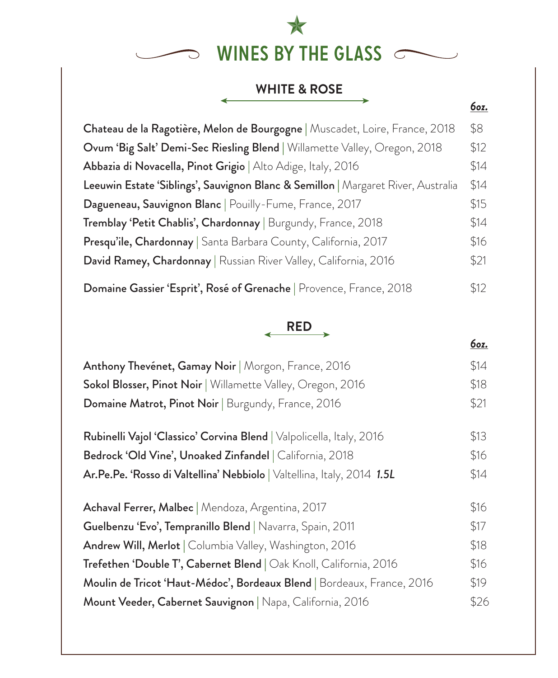

#### **WHITE & ROSE**

 $\rightarrow$ 

*6oz.*

| Chateau de la Ragotière, Melon de Bourgogne   Muscadet, Loire, France, 2018       | \$8  |
|-----------------------------------------------------------------------------------|------|
| Ovum 'Big Salt' Demi-Sec Riesling Blend   Willamette Valley, Oregon, 2018         | \$12 |
| Abbazia di Novacella, Pinot Grigio   Alto Adige, Italy, 2016                      | \$14 |
| Leeuwin Estate 'Siblings', Sauvignon Blanc & Semillon   Margaret River, Australia | \$14 |
| Dagueneau, Sauvignon Blanc   Pouilly-Fume, France, 2017                           | \$15 |
| Tremblay 'Petit Chablis', Chardonnay   Burgundy, France, 2018                     | \$14 |
| Presqu'ile, Chardonnay   Santa Barbara County, California, 2017                   | \$16 |
| David Ramey, Chardonnay   Russian River Valley, California, 2016                  | \$21 |
| Domaine Gassier 'Esprit', Rosé of Grenache   Provence, France, 2018               | \$12 |

# **RED**

| Anthony Thevenet, Gamay Noir   Morgon, France, 2016                     | \$14 |
|-------------------------------------------------------------------------|------|
| Sokol Blosser, Pinot Noir   Willamette Valley, Oregon, 2016             | \$18 |
| Domaine Matrot, Pinot Noir   Burgundy, France, 2016                     | \$21 |
| Rubinelli Vajol 'Classico' Corvina Blend   Valpolicella, Italy, 2016    | \$13 |
| Bedrock 'Old Vine', Unoaked Zinfandel   California, 2018                | \$16 |
| Ar.Pe.Pe. 'Rosso di Valtellina' Nebbiolo   Valtellina, Italy, 2014 1.5L | \$14 |
| Achaval Ferrer, Malbec   Mendoza, Argentina, 2017                       | \$16 |
| Guelbenzu 'Evo', Tempranillo Blend   Navarra, Spain, 2011               | \$17 |
| Andrew Will, Merlot   Columbia Valley, Washington, 2016                 | \$18 |
| Trefethen 'Double T', Cabernet Blend   Oak Knoll, California, 2016      | \$16 |
| Moulin de Tricot 'Haut-Médoc', Bordeaux Blend   Bordeaux, France, 2016  | \$19 |
| Mount Veeder, Cabernet Sauvignon   Napa, California, 2016               | \$26 |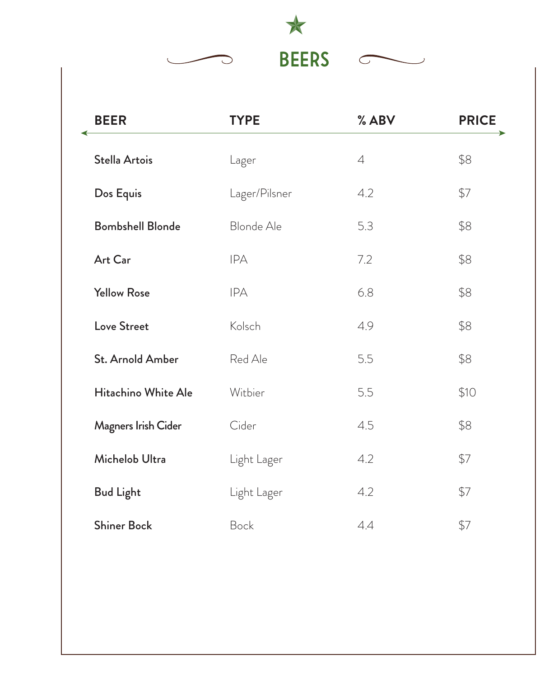

| <b>BEER</b>             | <b>TYPE</b>   | % ABV       | <b>PRICE</b> |
|-------------------------|---------------|-------------|--------------|
| Stella Artois           | Lager         | $\varDelta$ | \$8          |
| Dos Equis               | Lager/Pilsner | 4.2         | \$7          |
| <b>Bombshell Blonde</b> | Blonde Ale    | 5.3         | \$8          |
| Art Car                 | <b>IPA</b>    | 7.2         | \$8          |
| <b>Yellow Rose</b>      | <b>IPA</b>    | 6.8         | \$8          |
| Love Street             | Kolsch        | 4.9         | \$8          |
| St. Arnold Amber        | Red Ale       | 5.5         | \$8          |
| Hitachino White Ale     | Witbier       | 5.5         | \$10         |
| Magners Irish Cider     | Cider         | 4.5         | \$8          |
| Michelob Ultra          | Light Lager   | 4.2         | \$7          |
| <b>Bud Light</b>        | Light Lager   | 4.2         | \$7          |
| <b>Shiner Bock</b>      | Bock          | 4.4         | \$7          |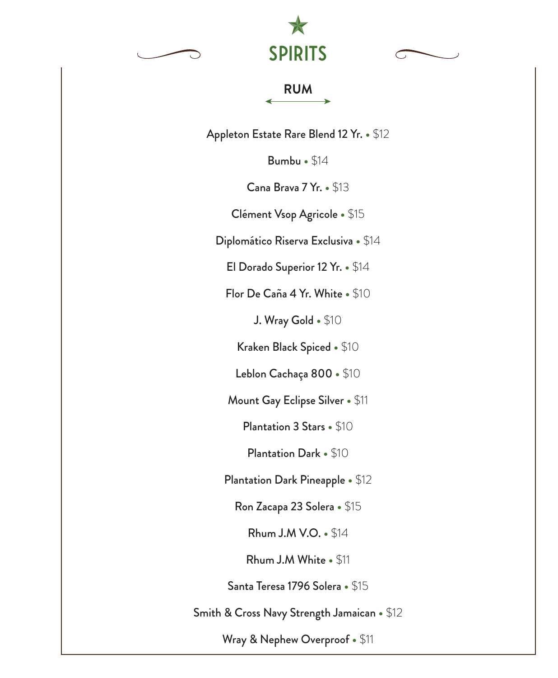





Appleton Estate Rare Blend 12 Yr. **•** \$12

Bumbu **•** \$14

Cana Brava 7 Yr. **•** \$13

Clément Vsop Agricole **•** \$15

Diplomático Riserva Exclusiva **•** \$14

El Dorado Superior 12 Yr. **•** \$14

Flor De Caña 4 Yr. White **•** \$10

J. Wray Gold **•** \$10

Kraken Black Spiced **•** \$10

Leblon Cachaça 800 **•** \$10

Mount Gay Eclipse Silver **•** \$11

Plantation 3 Stars **•** \$10

Plantation Dark **•** \$10

Plantation Dark Pineapple **•** \$12

Ron Zacapa 23 Solera **•** \$15

Rhum J.M V.O. **•** \$14

Rhum J.M White **•** \$11

Santa Teresa 1796 Solera **•** \$15

Smith & Cross Navy Strength Jamaican **•** \$12

Wray & Nephew Overproof **•** \$11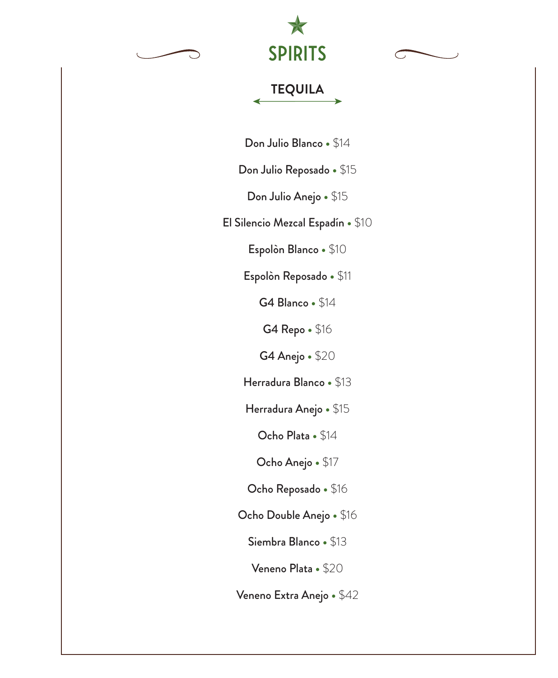



# **TEQUILA**

Don Julio Blanco **•** \$14

Don Julio Reposado **•** \$15

Don Julio Anejo **•** \$15

El Silencio Mezcal Espadín **•** \$10

Espolòn Blanco **•** \$10

Espolòn Reposado **•** \$11

G4 Blanco **•** \$14

G4 Repo **•** \$16

G4 Anejo **•** \$20

Herradura Blanco **•** \$13

Herradura Anejo **•** \$15

Ocho Plata **•** \$14

Ocho Anejo **•** \$17

Ocho Reposado **•** \$16

Ocho Double Anejo **•** \$16

Siembra Blanco **•** \$13

Veneno Plata **•** \$20

Veneno Extra Anejo **•** \$42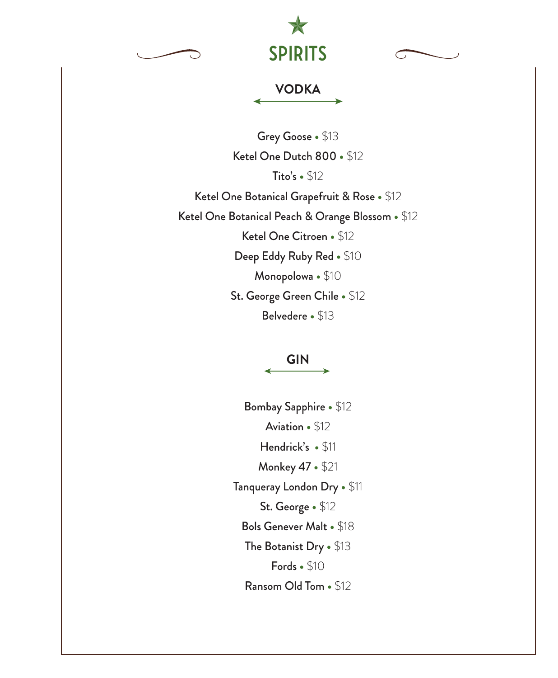





### **VODKA**

Grey Goose **•** \$13 Ketel One Dutch 800 **•** \$12 Tito's **•** \$12 Ketel One Botanical Grapefruit & Rose **•** \$12 Ketel One Botanical Peach & Orange Blossom **•** \$12 Ketel One Citroen **•** \$12 Deep Eddy Ruby Red **•** \$10 Monopolowa **•** \$10 St. George Green Chile **•** \$12 Belvedere **•** \$13

**GIN**

Bombay Sapphire **•** \$12 Aviation **•** \$12 Hendrick's **•** \$11 Monkey 47 **•** \$21 Tanqueray London Dry **•** \$11 St. George **•** \$12 Bols Genever Malt **•** \$18 The Botanist Dry **•** \$13 Fords **•** \$10 Ransom Old Tom **•** \$12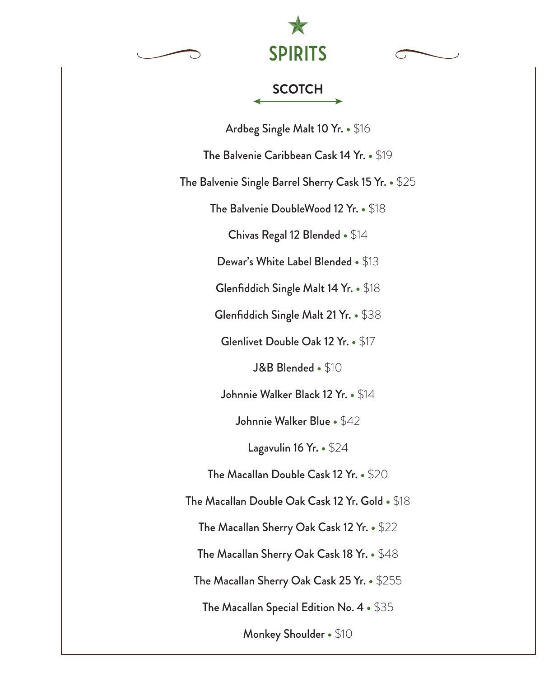





Ardbeg Single Malt 10 Yr. **•** \$16

The Balvenie Caribbean Cask 14 Yr. **•** \$19

The Balvenie Single Barrel Sherry Cask 15 Yr. **•** \$25

The Balvenie DoubleWood 12 Yr. **•** \$18

Chivas Regal 12 Blended **•** \$14

Dewar's White Label Blended **•** \$13

Glenfiddich Single Malt 14 Yr. **•** \$18

Glenfiddich Single Malt 21 Yr. **•** \$38

Glenlivet Double Oak 12 Yr. **•** \$17

J&B Blended **•** \$10

Johnnie Walker Black 12 Yr. **•** \$14

Johnnie Walker Blue **•** \$42

Lagavulin 16 Yr. **•** \$24

The Macallan Double Cask 12 Yr. **•** \$20

The Macallan Double Oak Cask 12 Yr. Gold **•** \$18

The Macallan Sherry Oak Cask 12 Yr. **•** \$22

The Macallan Sherry Oak Cask 18 Yr. **•** \$48

The Macallan Sherry Oak Cask 25 Yr. **•** \$255

The Macallan Special Edition No. 4 **•** \$35

Monkey Shoulder **•** \$10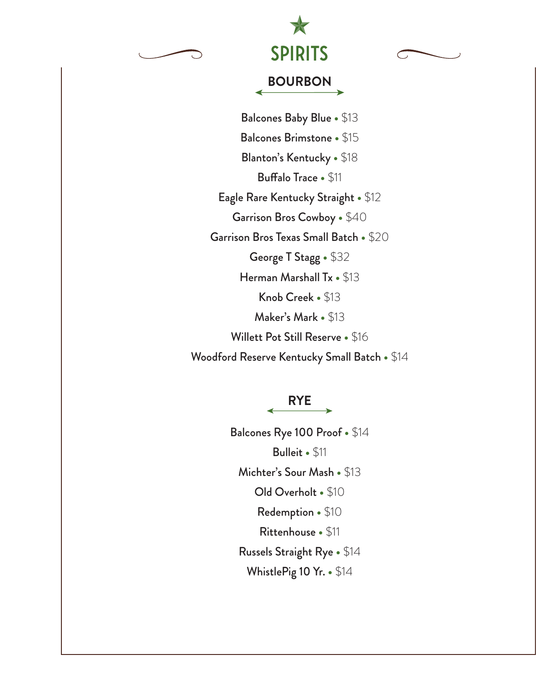



# **BOURBON**

Balcones Baby Blue **•** \$13 Balcones Brimstone **•** \$15 Blanton's Kentucky **•** \$18 **Buffalo Trace • \$11** Eagle Rare Kentucky Straight **•** \$12 Garrison Bros Cowboy **•** \$40 Garrison Bros Texas Small Batch **•** \$20 George T Stagg **•** \$32 Herman Marshall Tx **•** \$13 Knob Creek **•** \$13 Maker's Mark **•** \$13 Willett Pot Still Reserve **•** \$16 Woodford Reserve Kentucky Small Batch **•** \$14

#### **RYE**

Balcones Rye 100 Proof **•** \$14 Bulleit **•** \$11 Michter's Sour Mash **•** \$13 Old Overholt **•** \$10 Redemption **•** \$10 Rittenhouse **•** \$11 Russels Straight Rye **•** \$14 WhistlePig 10 Yr. **•** \$14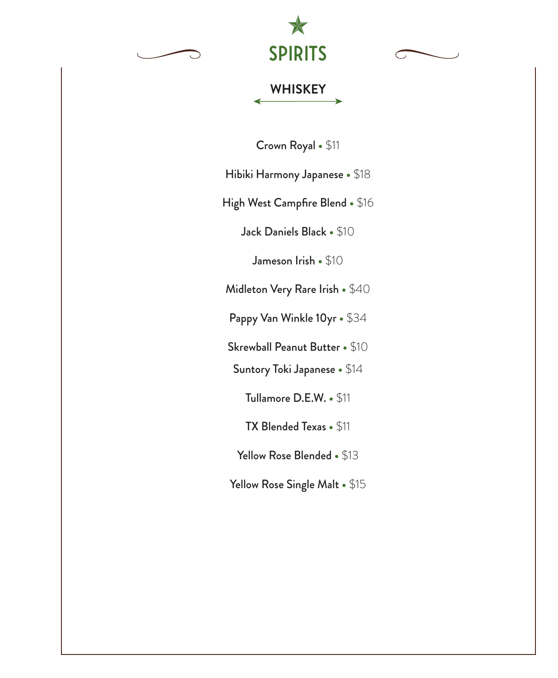



#### **WHISKEY**

Crown Royal **•** \$11

Hibiki Harmony Japanese **•** \$18

High West Campfire Blend **•** \$16

Jack Daniels Black **•** \$10

Jameson Irish **•** \$10

Midleton Very Rare Irish **•** \$40

Pappy Van Winkle 10yr **•** \$34

Skrewball Peanut Butter **•** \$10

Suntory Toki Japanese **•** \$14

Tullamore D.E.W. **•** \$11

TX Blended Texas **•** \$11

Yellow Rose Blended **•** \$13

Yellow Rose Single Malt **•** \$15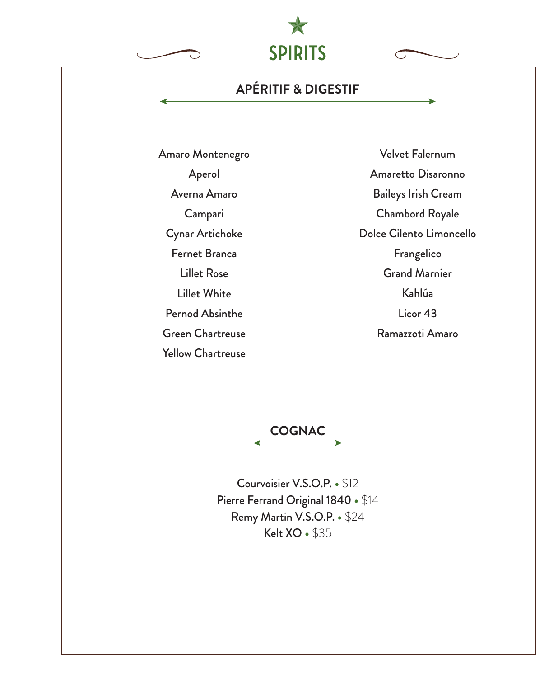SPIRITS

# **APÉRITIF & DIGESTIF**

Amaro Montenegro Aperol Averna Amaro Campari Cynar Artichoke Fernet Branca Lillet Rose Lillet White Pernod Absinthe Green Chartreuse Yellow Chartreuse

Velvet Falernum Amaretto Disaronno Baileys Irish Cream Chambord Royale Dolce Cilento Limoncello Frangelico Grand Marnier Kahlúa Licor 43 Ramazzoti Amaro



Courvoisier V.S.O.P. **•** \$12 Pierre Ferrand Original 1840 **•** \$14 Remy Martin V.S.O.P. **•** \$24 Kelt XO **•** \$35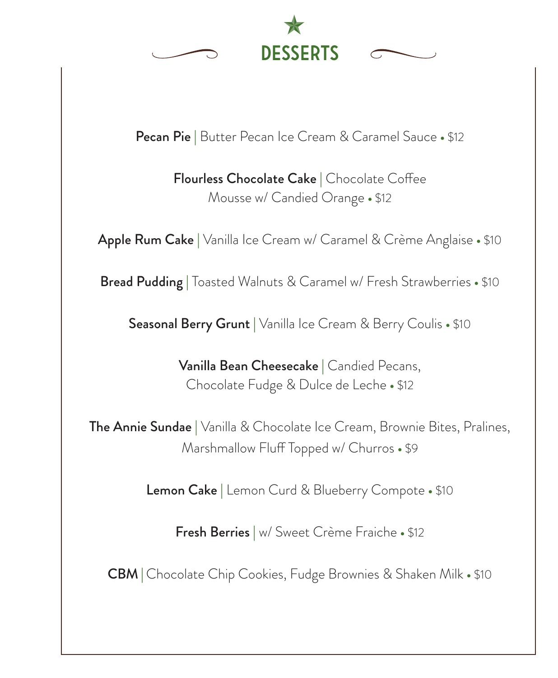

Pecan Pie | Butter Pecan Ice Cream & Caramel Sauce **•** \$12

Flourless Chocolate Cake | Chocolate Coffee Mousse w/ Candied Orange **•** \$12

Apple Rum Cake | Vanilla Ice Cream w/ Caramel & Crème Anglaise **•** \$10

Bread Pudding | Toasted Walnuts & Caramel w/ Fresh Strawberries **•** \$10

Seasonal Berry Grunt | Vanilla Ice Cream & Berry Coulis **•** \$10

Vanilla Bean Cheesecake | Candied Pecans, Chocolate Fudge & Dulce de Leche **•** \$12

The Annie Sundae | Vanilla & Chocolate Ice Cream, Brownie Bites, Pralines, Marshmallow Fluff Topped w/ Churros • \$9

Lemon Cake | Lemon Curd & Blueberry Compote **•** \$10

Fresh Berries | w/ Sweet Crème Fraiche **•** \$12

CBM | Chocolate Chip Cookies, Fudge Brownies & Shaken Milk **•** \$10